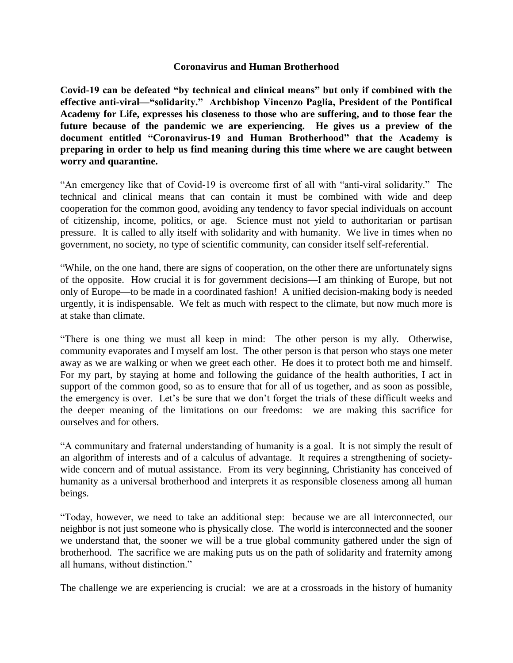## **Coronavirus and Human Brotherhood**

**Covid-19 can be defeated "by technical and clinical means" but only if combined with the effective anti-viral—"solidarity." Archbishop Vincenzo Paglia, President of the Pontifical Academy for Life, expresses his closeness to those who are suffering, and to those fear the future because of the pandemic we are experiencing. He gives us a preview of the document entitled "Coronavirus-19 and Human Brotherhood" that the Academy is preparing in order to help us find meaning during this time where we are caught between worry and quarantine.**

"An emergency like that of Covid-19 is overcome first of all with "anti-viral solidarity." The technical and clinical means that can contain it must be combined with wide and deep cooperation for the common good, avoiding any tendency to favor special individuals on account of citizenship, income, politics, or age. Science must not yield to authoritarian or partisan pressure. It is called to ally itself with solidarity and with humanity. We live in times when no government, no society, no type of scientific community, can consider itself self-referential.

"While, on the one hand, there are signs of cooperation, on the other there are unfortunately signs of the opposite. How crucial it is for government decisions—I am thinking of Europe, but not only of Europe—to be made in a coordinated fashion! A unified decision-making body is needed urgently, it is indispensable. We felt as much with respect to the climate, but now much more is at stake than climate.

"There is one thing we must all keep in mind: The other person is my ally. Otherwise, community evaporates and I myself am lost. The other person is that person who stays one meter away as we are walking or when we greet each other. He does it to protect both me and himself. For my part, by staying at home and following the guidance of the health authorities, I act in support of the common good, so as to ensure that for all of us together, and as soon as possible, the emergency is over. Let's be sure that we don't forget the trials of these difficult weeks and the deeper meaning of the limitations on our freedoms: we are making this sacrifice for ourselves and for others.

"A communitary and fraternal understanding of humanity is a goal. It is not simply the result of an algorithm of interests and of a calculus of advantage. It requires a strengthening of societywide concern and of mutual assistance. From its very beginning, Christianity has conceived of humanity as a universal brotherhood and interprets it as responsible closeness among all human beings.

"Today, however, we need to take an additional step: because we are all interconnected, our neighbor is not just someone who is physically close. The world is interconnected and the sooner we understand that, the sooner we will be a true global community gathered under the sign of brotherhood. The sacrifice we are making puts us on the path of solidarity and fraternity among all humans, without distinction."

The challenge we are experiencing is crucial: we are at a crossroads in the history of humanity